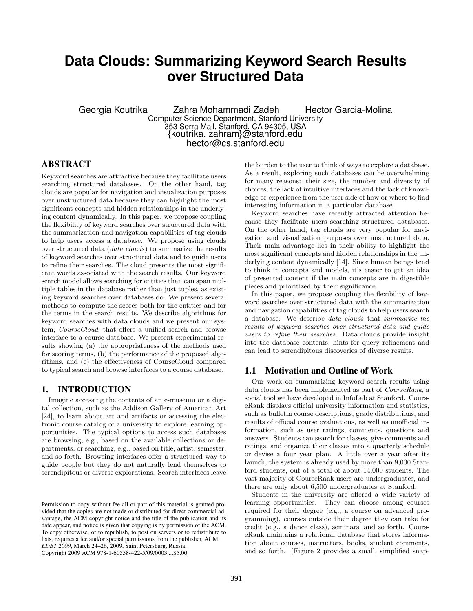# **Data Clouds: Summarizing Keyword Search Results over Structured Data**

Georgia Koutrika Zahra Mohammadi Zadeh Hector Garcia-Molina Computer Science Department, Stanford University 353 Serra Mall, Stanford, CA 94305, USA {koutrika, zahram}@stanford.edu hector@cs.stanford.edu

# ABSTRACT

Keyword searches are attractive because they facilitate users searching structured databases. On the other hand, tag clouds are popular for navigation and visualization purposes over unstructured data because they can highlight the most significant concepts and hidden relationships in the underlying content dynamically. In this paper, we propose coupling the flexibility of keyword searches over structured data with the summarization and navigation capabilities of tag clouds to help users access a database. We propose using clouds over structured data (data clouds) to summarize the results of keyword searches over structured data and to guide users to refine their searches. The cloud presents the most significant words associated with the search results. Our keyword search model allows searching for entities than can span multiple tables in the database rather than just tuples, as existing keyword searches over databases do. We present several methods to compute the scores both for the entities and for the terms in the search results. We describe algorithms for keyword searches with data clouds and we present our system, CourseCloud, that offers a unified search and browse interface to a course database. We present experimental results showing (a) the appropriateness of the methods used for scoring terms, (b) the performance of the proposed algorithms, and (c) the effectiveness of CourseCloud compared to typical search and browse interfaces to a course database.

## 1. INTRODUCTION

Imagine accessing the contents of an e-museum or a digital collection, such as the Addison Gallery of American Art [24], to learn about art and artifacts or accessing the electronic course catalog of a university to explore learning opportunities. The typical options to access such databases are browsing, e.g., based on the available collections or departments, or searching, e.g., based on title, artist, semester, and so forth. Browsing interfaces offer a structured way to guide people but they do not naturally lend themselves to serendipitous or diverse explorations. Search interfaces leave the burden to the user to think of ways to explore a database. As a result, exploring such databases can be overwhelming for many reasons: their size, the number and diversity of choices, the lack of intuitive interfaces and the lack of knowledge or experience from the user side of how or where to find interesting information in a particular database.

Keyword searches have recently attracted attention because they facilitate users searching structured databases. On the other hand, tag clouds are very popular for navigation and visualization purposes over unstructured data. Their main advantage lies in their ability to highlight the most significant concepts and hidden relationships in the underlying content dynamically [14]. Since human beings tend to think in concepts and models, it's easier to get an idea of presented content if the main concepts are in digestible pieces and prioritized by their significance.

In this paper, we propose coupling the flexibility of keyword searches over structured data with the summarization and navigation capabilities of tag clouds to help users search a database. We describe data clouds that summarize the results of keyword searches over structured data and guide users to refine their searches. Data clouds provide insight into the database contents, hints for query refinement and can lead to serendipitous discoveries of diverse results.

# 1.1 Motivation and Outline of Work

Our work on summarizing keyword search results using data clouds has been implemented as part of CourseRank, a social tool we have developed in InfoLab at Stanford. CourseRank displays official university information and statistics, such as bulletin course descriptions, grade distributions, and results of official course evaluations, as well as unofficial information, such as user ratings, comments, questions and answers. Students can search for classes, give comments and ratings, and organize their classes into a quarterly schedule or devise a four year plan. A little over a year after its launch, the system is already used by more than 9,000 Stanford students, out of a total of about 14,000 students. The vast majority of CourseRank users are undergraduates, and there are only about 6,500 undergraduates at Stanford.

Students in the university are offered a wide variety of learning opportunities. They can choose among courses required for their degree (e.g., a course on advanced programming), courses outside their degree they can take for credit (e.g., a dance class), seminars, and so forth. CourseRank maintains a relational database that stores information about courses, instructors, books, student comments, and so forth. (Figure 2 provides a small, simplified snap-

Permission to copy without fee all or part of this material is granted provided that the copies are not made or distributed for direct commercial advantage, the ACM copyright notice and the title of the publication and its date appear, and notice is given that copying is by permission of the ACM. To copy otherwise, or to republish, to post on servers or to redistribute to lists, requires a fee and/or special permissions from the publisher, ACM. *EDBT 2009*, March 24–26, 2009, Saint Petersburg, Russia. Copyright 2009 ACM 978-1-60558-422-5/09/0003 ...\$5.00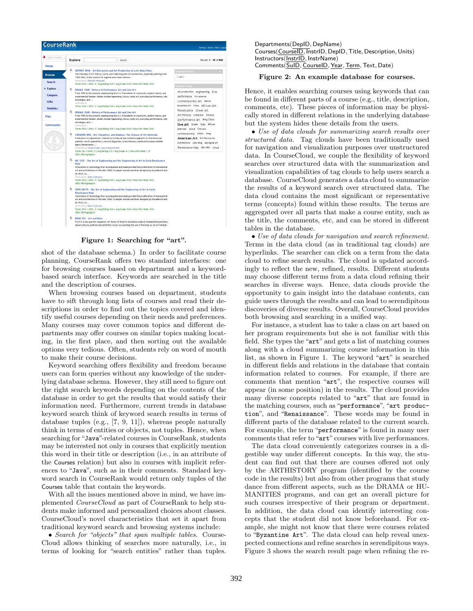

Figure 1: Searching for "art".

shot of the database schema.) In order to facilitate course planning, CourseRank offers two standard interfaces: one for browsing courses based on department and a keywordbased search interface. Keywords are searched in the title and the description of courses.

When browsing courses based on department, students have to sift through long lists of courses and read their descriptions in order to find out the topics covered and identify useful courses depending on their needs and preferences. Many courses may cover common topics and different departments may offer courses on similar topics making locating, in the first place, and then sorting out the available options very tedious. Often, students rely on word of mouth to make their course decisions.

Keyword searching offers flexibility and freedom because users can form queries without any knowledge of the underlying database schema. However, they still need to figure out the right search keywords depending on the contents of the database in order to get the results that would satisfy their information need. Furthermore, current trends in database keyword search think of keyword search results in terms of database tuples (e.g., [7, 9, 11]), whereas people naturally think in terms of entities or objects, not tuples. Hence, when searching for "Java"-related courses in CourseRank, students may be interested not only in courses that explicitly mention this word in their title or description (i.e., in an attribute of the Courses relation) but also in courses with implicit references to "Java", such as in their comments. Standard keyword search in CourseRank would return only tuples of the Courses table that contain the keywords.

With all the issues mentioned above in mind, we have implemented CourseCloud as part of CourseRank to help students make informed and personalized choices about classes. CourseCloud's novel characteristics that set it apart from traditional keyword search and browsing systems include:

• Search for "objects" that span multiple tables. Course-Cloud allows thinking of searches more naturally, i.e., in terms of looking for "search entities" rather than tuples.

Departments(DepID, DepName) Courses(CourseID, InstrID, DepID, Title, Description, Units) Instructors(InstrID, InstrName) Comments(SuID, CourseID, Year, Term, Text, Date)

#### Figure 2: An example database for courses.

Hence, it enables searching courses using keywords that can be found in different parts of a course (e.g., title, description, comments, etc). These pieces of information may be physically stored in different relations in the underlying database but the system hides these details from the users.

• Use of data clouds for summarizing search results over structured data. Tag clouds have been traditionally used for navigation and visualization purposes over unstructured data. In CourseCloud, we couple the flexibility of keyword searches over structured data with the summarization and visualization capabilities of tag clouds to help users search a database. CourseCloud generates a data cloud to summarize the results of a keyword search over structured data. The data cloud contains the most significant or representative terms (concepts) found within these results. The terms are aggregated over all parts that make a course entity, such as the title, the comments, etc, and can be stored in different tables in the database.

• Use of data clouds for navigation and search refinement. Terms in the data cloud (as in traditional tag clouds) are hyperlinks. The searcher can click on a term from the data cloud to refine search results. The cloud is updated accordingly to reflect the new, refined, results. Different students may choose different terms from a data cloud refining their searches in diverse ways. Hence, data clouds provide the opportunity to gain insight into the database contents, can guide users through the results and can lead to serendipitous discoveries of diverse results. Overall, CourseCloud provides both browsing and searching in a unified way.

For instance, a student has to take a class on art based on her program requirements but she is not familiar with this field. She types the "art" and gets a list of matching courses along with a cloud summarizing course information in this list, as shown in Figure 1. The keyword "art" is searched in different fields and relations in the database that contain information related to courses. For example, if there are comments that mention "art", the respective courses will appear (in some position) in the results. The cloud provides many diverse concepts related to "art" that are found in the matching courses, such as "performance", "art production", and "Renaissance". These words may be found in different parts of the database related to the current search. For example, the term "performance" is found in many user comments that refer to "art" courses with live performances.

The data cloud conveniently categorizes courses in a digestible way under different concepts. In this way, the student can find out that there are courses offered not only by the ARTHISTORY program (identified by the course code in the results) but also from other programs that study dance from different aspects, such as the DRAMA or HU-MANITIES programs, and can get an overall picture for such courses irrespective of their program or department. In addition, the data cloud can identify interesting concepts that the student did not know beforehand. For example, she might not know that there were courses related to "Byzantine Art". The data cloud can help reveal unexpected connections and refine searches in serendipitous ways. Figure 3 shows the search result page when refining the re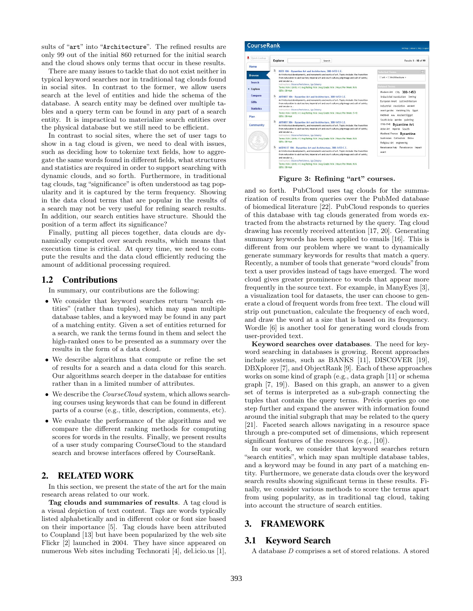sults of "art" into "Architecture". The refined results are only 99 out of the initial 860 returned for the initial search and the cloud shows only terms that occur in these results.

There are many issues to tackle that do not exist neither in typical keyword searches nor in traditional tag clouds found in social sites. In contrast to the former, we allow users search at the level of entities and hide the schema of the database. A search entity may be defined over multiple tables and a query term can be found in any part of a search entity. It is impractical to materialize search entities over the physical database but we still need to be efficient.

In contrast to social sites, where the set of user tags to show in a tag cloud is given, we need to deal with issues, such as deciding how to tokenize text fields, how to aggregate the same words found in different fields, what structures and statistics are required in order to support searching with dynamic clouds, and so forth. Furthermore, in traditional tag clouds, tag "significance" is often understood as tag popularity and it is captured by the term frequency. Showing in the data cloud terms that are popular in the results of a search may not be very useful for refining search results. In addition, our search entities have structure. Should the position of a term affect its significance?

Finally, putting all pieces together, data clouds are dynamically computed over search results, which means that execution time is critical. At query time, we need to compute the results and the data cloud efficiently reducing the amount of additional processing required.

# 1.2 Contributions

In summary, our contributions are the following:

- We consider that keyword searches return "search entities" (rather than tuples), which may span multiple database tables, and a keyword may be found in any part of a matching entity. Given a set of entities returned for a search, we rank the terms found in them and select the high-ranked ones to be presented as a summary over the results in the form of a data cloud.
- We describe algorithms that compute or refine the set of results for a search and a data cloud for this search. Our algorithms search deeper in the database for entities rather than in a limited number of attributes.
- We describe the CourseCloud system, which allows searching courses using keywords that can be found in different parts of a course (e.g., title, description, comments, etc).
- We evaluate the performance of the algorithms and we compare the different ranking methods for computing scores for words in the results. Finally, we present results of a user study comparing CourseCloud to the standard search and browse interfaces offered by CourseRank.

# 2. RELATED WORK

In this section, we present the state of the art for the main research areas related to our work.

Tag clouds and summaries of results. A tag cloud is a visual depiction of text content. Tags are words typically listed alphabetically and in different color or font size based on their importance [5]. Tag clouds have been attributed to Coupland [13] but have been popularized by the web site Flickr [2] launched in 2004. They have since appeared on numerous Web sites including Technorati [4], del.icio.us [1],



Figure 3: Refining "art" courses.

and so forth. PubCloud uses tag clouds for the summarization of results from queries over the PubMed database of biomedical literature [22]. PubCloud responds to queries of this database with tag clouds generated from words extracted from the abstracts returned by the query. Tag cloud drawing has recently received attention [17, 20]. Generating summary keywords has been applied to emails [16]. This is different from our problem where we want to dynamically generate summary keywords for results that match a query. Recently, a number of tools that generate "word clouds" from text a user provides instead of tags have emerged. The word cloud gives greater prominence to words that appear more frequently in the source text. For example, in ManyEyes [3], a visualization tool for datasets, the user can choose to generate a cloud of frequent words from free text. The cloud will strip out punctuation, calculate the frequency of each word, and draw the word at a size that is based on its frequency. Wordle [6] is another tool for generating word clouds from user-provided text.

Keyword searches over databases. The need for keyword searching in databases is growing. Recent approaches include systems, such as BANKS [11], DISCOVER [19], DBXplorer [7], and ObjectRank [9]. Each of these approaches works on some kind of graph (e.g., data graph [11] or schema graph [7, 19]). Based on this graph, an answer to a given set of terms is interpreted as a sub-graph connecting the tuples that contain the query terms. Précis queries go one step further and expand the answer with information found around the initial subgraph that may be related to the query [21]. Faceted search allows navigating in a resource space through a pre-computed set of dimensions, which represent significant features of the resources (e.g., [10]).

In our work, we consider that keyword searches return "search entities", which may span multiple database tables, and a keyword may be found in any part of a matching entity. Furthermore, we generate data clouds over the keyword search results showing significant terms in these results. Finally, we consider various methods to score the terms apart from using popularity, as in traditional tag cloud, taking into account the structure of search entities.

# 3. FRAMEWORK

# 3.1 Keyword Search

A database D comprises a set of stored relations. A stored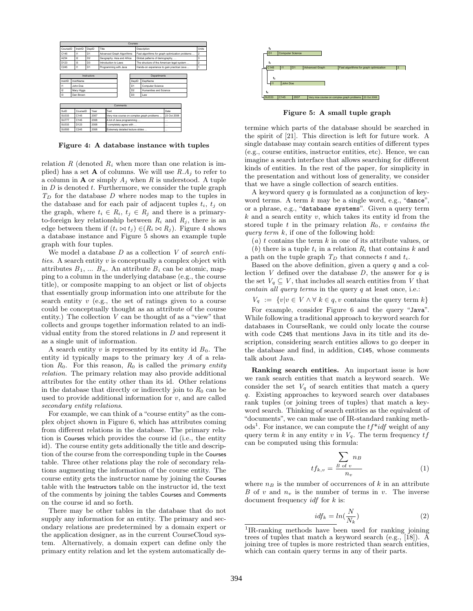

Figure 4: A database instance with tuples

relation  $R$  (denoted  $R_i$  when more than one relation is implied) has a set **A** of columns. We will use  $R.A_j$  to refer to a column in **A** or simply  $A_j$  when R is understood. A tuple in  $D$  is denoted  $t$ . Furthermore, we consider the tuple graph  $T_D$  for the database D where nodes map to the tuples in the database and for each pair of adjacent tuples  $t_i$ ,  $t_j$  on the graph, where  $t_i \in R_i$ ,  $t_j \in R_j$  and there is a primaryto-foreign key relationship between  $R_i$  and  $R_j$ , there is an edge between them if  $(t_i \bowtie t_j) \in (R_i \bowtie R_j)$ . Figure 4 shows a database instance and Figure 5 shows an example tuple graph with four tuples.

We model a database  $D$  as a collection  $V$  of search entities. A search entity v is conceptually a complex object with attributes  $B_1, \ldots, B_n$ . An attribute  $B_i$  can be atomic, mapping to a column in the underlying database (e.g., the course title), or composite mapping to an object or list of objects that essentially group information into one attribute for the search entity  $v$  (e.g., the set of ratings given to a course could be conceptually thought as an attribute of the course entity.) The collection  $V$  can be thought of as a "view" that collects and groups together information related to an individual entity from the stored relations in D and represent it as a single unit of information.

A search entity  $v$  is represented by its entity id  $B_0$ . The entity id typically maps to the primary key A of a relation  $R_0$ . For this reason,  $R_0$  is called the *primary entity* relation. The primary relation may also provide additional attributes for the entity other than its id. Other relations in the database that directly or indirectly join to  $R_0$  can be used to provide additional information for  $v$ , and are called secondary entity relations.

For example, we can think of a "course entity" as the complex object shown in Figure 6, which has attributes coming from different relations in the database. The primary relation is Courses which provides the course id (i.e., the entity id). The course entity gets additionally the title and description of the course from the corresponding tuple in the Courses table. Three other relations play the role of secondary relations augmenting the information of the course entity. The course entity gets the instructor name by joining the Courses table with the Instructors table on the instructor id, the text of the comments by joining the tables Courses and Comments on the course id and so forth.

There may be other tables in the database that do not supply any information for an entity. The primary and secondary relations are predetermined by a domain expert or the application designer, as in the current CourseCloud system. Alternatively, a domain expert can define only the primary entity relation and let the system automatically de-



Figure 5: A small tuple graph

termine which parts of the database should be searched in the spirit of [21]. This direction is left for future work. A single database may contain search entities of different types (e.g., course entities, instructor entities, etc). Hence, we can imagine a search interface that allows searching for different kinds of entities. In the rest of the paper, for simplicity in the presentation and without loss of generality, we consider that we have a single collection of search entities.

A keyword query  $q$  is formulated as a conjunction of keyword terms. A term  $k$  may be a single word, e.g., "dance", or a phrase, e.g., "database systems". Given a query term  $k$  and a search entity  $v$ , which takes its entity id from the stored tuple t in the primary relation  $R_0$ , v contains the query term  $k$ , if one of the following hold:

 $(a)$  t contains the term k in one of its attribute values, or (b) there is a tuple  $t_i$  in a relation  $R_i$  that contains k and

a path on the tuple graph  $T_D$  that connects t and  $t_i$ .

Based on the above definition, given a query  $q$  and a collection V defined over the database  $D$ , the answer for  $q$  is the set  $V_q \subseteq V$ , that includes all search entities from V that contain all query terms in the query q at least once, i.e.:

 $V_q := \{v|v \in V \land \forall k \in q, v \text{ contains the query term } k\}$ 

For example, consider Figure 6 and the query "Java". While following a traditional approach to keyword search for databases in CourseRank, we could only locate the course with code C245 that mentions Java in its title and its description, considering search entities allows to go deeper in the database and find, in addition, C145, whose comments talk about Java.

Ranking search entities. An important issue is how we rank search entities that match a keyword search. We consider the set  $V_q$  of search entities that match a query q. Existing approaches to keyword search over databases rank tuples (or joining trees of tuples) that match a keyword search. Thinking of search entities as the equivalent of "documents", we can make use of IR-standard ranking meth- $\text{od} s^1$ . For instance, we can compute the  $tf^*idf$  weight of any query term k in any entity v in  $V_q$ . The term frequency tf can be computed using this formula:

$$
tf_{k,v} = \frac{\sum_{B \text{ of } v} n_B}{n_v} \tag{1}
$$

where  $n_B$  is the number of occurrences of k in an attribute B of v and  $n_v$  is the number of terms in v. The inverse document frequency  $\textit{id}$  for  $k$  is:

$$
idf_k = ln(\frac{N}{N_k})
$$
\n(2)

<sup>1</sup> IR-ranking methods have been used for ranking joining trees of tuples that match a keyword search (e.g., [18]). A joining tree of tuples is more restricted than search entities, which can contain query terms in any of their parts.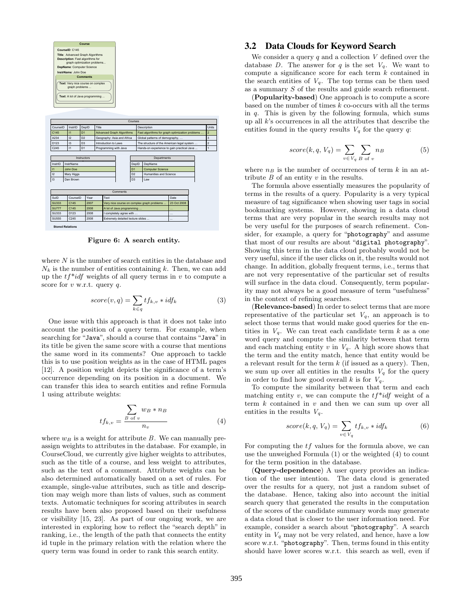

Figure 6: A search entity.

where  $N$  is the number of search entities in the database and  $N_k$  is the number of entities containing k. Then, we can add up the  $tf^*idf$  weights of all query terms in v to compute a score for  $v$  w.r.t. query  $q$ .

$$
score(v,q) = \sum_{k \in q} tf_{k,v} * idf_k
$$
\n(3)

One issue with this approach is that it does not take into account the position of a query term. For example, when searching for "Java", should a course that contains "Java" in its title be given the same score with a course that mentions the same word in its comments? One approach to tackle this is to use position weights as in the case of HTML pages [12]. A position weight depicts the significance of a term's occurrence depending on its position in a document. We can transfer this idea to search entities and refine Formula 1 using attribute weights:

$$
tf_{k,v} = \frac{\sum_{B \text{ of } v} w_B * n_B}{n_v} \tag{4}
$$

where  $w_B$  is a weight for attribute B. We can manually preassign weights to attributes in the database. For example, in CourseCloud, we currently give higher weights to attributes, such as the title of a course, and less weight to attributes, such as the text of a comment. Attribute weights can be also determined automatically based on a set of rules. For example, single-value attributes, such as title and description may weigh more than lists of values, such as comment texts. Automatic techniques for scoring attributes in search results have been also proposed based on their usefulness or visibility [15, 23]. As part of our ongoing work, we are interested in exploring how to reflect the "search depth" in ranking, i.e., the length of the path that connects the entity id tuple in the primary relation with the relation where the query term was found in order to rank this search entity.

## 3.2 Data Clouds for Keyword Search

We consider a query  $q$  and a collection  $V$  defined over the database D. The answer for q is the set  $V_q$ . We want to compute a significance score for each term k contained in the search entities of  $V_q$ . The top terms can be then used as a summary S of the results and guide search refinement.

(Popularity-based) One approach is to compute a score based on the number of times  $k$  co-occurs with all the terms in  $q$ . This is given by the following formula, which sums up all  $k$ 's occurrences in all the attributes that describe the entities found in the query results  $V_q$  for the query q:

$$
score(k, q, V_q) = \sum_{v \in V_q} \sum_{B \text{ of } v} n_B \tag{5}
$$

where  $n_B$  is the number of occurrences of term k in an attribute  $B$  of an entity  $v$  in the results.

The formula above essentially measures the popularity of terms in the results of a query. Popularity is a very typical measure of tag significance when showing user tags in social bookmarking systems. However, showing in a data cloud terms that are very popular in the search results may not be very useful for the purposes of search refinement. Consider, for example, a query for "photography" and assume that most of our results are about "digital photography". Showing this term in the data cloud probably would not be very useful, since if the user clicks on it, the results would not change. In addition, globally frequent terms, i.e., terms that are not very representative of the particular set of results will surface in the data cloud. Consequently, term popularity may not always be a good measure of term "usefulness" in the context of refining searches.

(Relevance-based) In order to select terms that are more representative of the particular set  $V_q$ , an approach is to select those terms that would make good queries for the entities in  $V_q$ . We can treat each candidate term k as a one word query and compute the similarity between that term and each matching entity  $v$  in  $V_q$ . A high score shows that the term and the entity match, hence that entity would be a relevant result for the term  $k$  (if issued as a query). Then, we sum up over all entities in the results  $V_q$  for the query in order to find how good overall k is for  $V_q$ .

To compute the similarity between that term and each matching entity v, we can compute the  $tf^*idf$  weight of a term  $k$  contained in  $v$  and then we can sum up over all entities in the results  $V_q$ .

$$
score(k, q, V_q) = \sum_{v \in V_q} tf_{k,v} * idf_k
$$
 (6)

For computing the  $tf$  values for the formula above, we can use the unweighed Formula (1) or the weighted (4) to count for the term position in the database.

(Query-dependence) A user query provides an indication of the user intention. The data cloud is generated over the results for a query, not just a random subset of the database. Hence, taking also into account the initial search query that generated the results in the computation of the scores of the candidate summary words may generate a data cloud that is closer to the user information need. For example, consider a search about "photography". A search entity in  $V_q$  may not be very related, and hence, have a low score w.r.t. "photography". Then, terms found in this entity should have lower scores w.r.t. this search as well, even if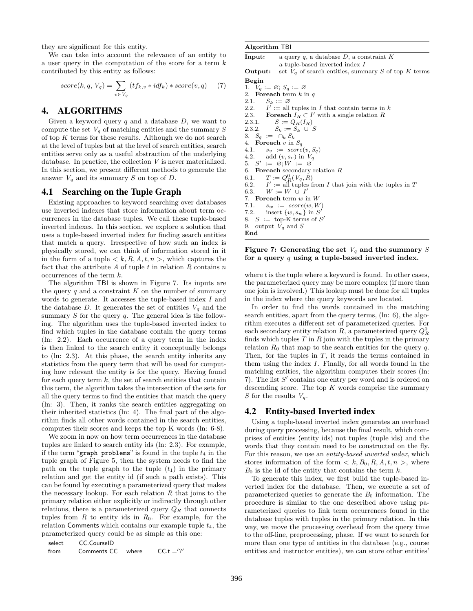they are significant for this entity.

We can take into account the relevance of an entity to a user query in the computation of the score for a term k contributed by this entity as follows:

$$
score(k, q, V_q) = \sum_{v \in V_q} (tf_{k,v} * idf_k) * score(v, q)
$$
 (7)

# 4. ALGORITHMS

Given a keyword query  $q$  and a database  $D$ , we want to compute the set  $V_q$  of matching entities and the summary S of top  $K$  terms for these results. Although we do not search at the level of tuples but at the level of search entities, search entities serve only as a useful abstraction of the underlying database. In practice, the collection V is never materialized. In this section, we present different methods to generate the answer  $V_q$  and its summary S on top of D.

# 4.1 Searching on the Tuple Graph

Existing approaches to keyword searching over databases use inverted indexes that store information about term occurrences in the database tuples. We call these tuple-based inverted indexes. In this section, we explore a solution that uses a tuple-based inverted index for finding search entities that match a query. Irrespective of how such an index is physically stored, we can think of information stored in it in the form of a tuple  $\langle k, R, A, t, n \rangle$ , which captures the fact that the attribute  $A$  of tuple  $t$  in relation  $R$  contains  $n$ occurrences of the term k.

The algorithm TBI is shown in Figure 7. Its inputs are the query q and a constraint  $K$  on the number of summary words to generate. It accesses the tuple-based index I and the database D. It generates the set of entities  $V_q$  and the summary  $S$  for the query  $q$ . The general idea is the following. The algorithm uses the tuple-based inverted index to find which tuples in the database contain the query terms (ln: 2.2). Each occurrence of a query term in the index is then linked to the search entity it conceptually belongs to (ln: 2.3). At this phase, the search entity inherits any statistics from the query term that will be used for computing how relevant the entity is for the query. Having found for each query term  $k$ , the set of search entities that contain this term, the algorithm takes the intersection of the sets for all the query terms to find the entities that match the query (ln: 3). Then, it ranks the search entities aggregating on their inherited statistics (ln: 4). The final part of the algorithm finds all other words contained in the search entities, computes their scores and keeps the top K words (ln: 6-8).

We zoom in now on how term occurrences in the database tuples are linked to search entity ids (ln: 2.3). For example, if the term "graph problems" is found in the tuple  $t_4$  in the tuple graph of Figure 5, then the system needs to find the path on the tuple graph to the tuple  $(t_1)$  in the primary relation and get the entity id (if such a path exists). This can be found by executing a parameterized query that makes the necessary lookup. For each relation  $R$  that joins to the primary relation either explicitly or indirectly through other relations, there is a parameterized query  $Q_R$  that connects tuples from R to entity ids in  $R_0$ . For example, for the relation Comments which contains our example tuple  $t_4$ , the parameterized query could be as simple as this one:

```
select CC.CourseID
from Comments CC where
                             CC.t = '?'
```
#### Algorithm TBI

```
Input: a query q, a database D, a constraint Ka tuple-based inverted index I
Output: set V_q of search entities, summary S of top K terms
Begin
1. V_q := \emptyset; S_q := \emptyset2. Foreach term k in q2.1. S_k := \emptyset2.2.
           \ell := all tuples in I that contain terms in k
2.3. Foreach I_R \subset I' with a single relation R
2.3.1. S := Q_R(I_R)<br>2.3.2. S_k := S_k \cup k2.3.2. S_k := S_k \cup S<br>3. S_q := \bigcap_k S_k\mathrel{\mathop:}= \ \cap_k S_k4. Foreach v in S_q4.1. s_v := score(v, S_q)<br>4.2. add (v, s_v) in V_qadd (v, s_v) in V_q5. S' := \varnothing; W := \varnothing6. Foreach secondary relation R6.1. T := Q_R^0(V_q, R)6.2. I
           \ell := \text{all tuples from } I \text{ that join with the tuples in } T6.3. W := W \cup I'7. Foreach term w in W7.1. s_w := score(w, W)<br>
7.2. insert \{w, s_w\} in S'7.2. insert \{w, s_w\} in S'8. S := \text{top-K terms of } S'9. output V_q and S
```


Figure 7: Generating the set  $V_q$  and the summary S for a query  $q$  using a tuple-based inverted index.

where  $t$  is the tuple where a keyword is found. In other cases, the parameterized query may be more complex (if more than one join is involved.) This lookup must be done for all tuples in the index where the query keywords are located.

In order to find the words contained in the matching search entities, apart from the query terms, (ln: 6), the algorithm executes a different set of parameterized queries. For each secondary entity relation  $R$ , a parameterized query  $Q_R^0$ finds which tuples  $T$  in  $R$  join with the tuples in the primary relation  $R_0$  that map to the search entities for the query q. Then, for the tuples in  $T$ , it reads the terms contained in them using the index I. Finally, for all words found in the matching entities, the algorithm computes their scores (ln: 7). The list  $S'$  contains one entry per word and is ordered on descending score. The top  $K$  words comprise the summary S for the results  $V_a$ .

# 4.2 Entity-based Inverted index

Using a tuple-based inverted index generates an overhead during query processing, because the final result, which comprises of entities (entity ids) not tuples (tuple ids) and the words that they contain need to be constructed on the fly. For this reason, we use an entity-based inverted index, which stores information of the form  $\langle k, B_0, R, A, t, n \rangle$ , where  $B_0$  is the id of the entity that contains the term k.

To generate this index, we first build the tuple-based inverted index for the database. Then, we execute a set of parameterized queries to generate the  $B_0$  information. The procedure is similar to the one described above using parameterized queries to link term occurrences found in the database tuples with tuples in the primary relation. In this way, we move the processing overhead from the query time to the off-line, preprocessing, phase. If we want to search for more than one type of entities in the database (e.g., course entities and instructor entities), we can store other entities'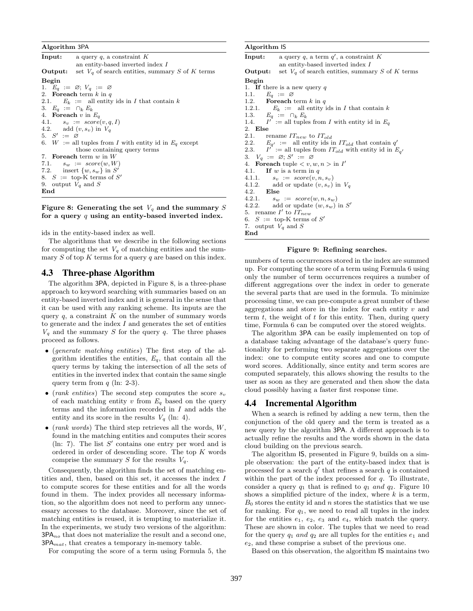#### Algorithm 3PA

**Input:** a query  $q$ , a constraint  $K$ an entity-based inverted index I **Output:** set  $V_q$  of search entities, summary S of K terms Begin 1.  $E_q := \emptyset$ ;  $V_q := \emptyset$ 2. For each term  $k$  in  $q$ 2.1.  $E_k := \text{all entity}$  ids in I that contain k 3.  $E_q := \bigcap_k E_k$ 4. Foreach v in  $E_q$ <br>4.1.  $s_v := score$ 4.1.  $s_v := score(v, q, I)$ <br>4.2. add  $(v, s_v)$  in  $V_a$ add  $(v, s_v)$  in  $V_q$ 5.  $S' := \varnothing$ 6.  $W :=$  all tuples from I with entity id in  $E_q$  except those containing query terms 7. Foreach term  $w$  in  $W$ 7.1.  $s_w := score(w, W)$ <br>7.2. insert  $\{w, s_w\}$  in S' 7.2. insert  $\{w, s_w\}$  in  $S'$ 8.  $S := \text{top-K terms of } S'$ 9. output  $V_q$  and  $S$ End

Figure 8: Generating the set  $V_q$  and the summary S for a query  $q$  using an entity-based inverted index.

ids in the entity-based index as well.

The algorithms that we describe in the following sections for computing the set  $V_q$  of matching entities and the summary  $S$  of top  $K$  terms for a query  $q$  are based on this index.

## 4.3 Three-phase Algorithm

The algorithm 3PA, depicted in Figure 8, is a three-phase approach to keyword searching with summaries based on an entity-based inverted index and it is general in the sense that it can be used with any ranking scheme. Its inputs are the query  $q$ , a constraint  $K$  on the number of summary words to generate and the index  $I$  and generates the set of entities  $V_q$  and the summary S for the query q. The three phases proceed as follows.

- (generate matching entities) The first step of the algorithm identifies the entities,  $E_q$ , that contain all the query terms by taking the intersection of all the sets of entities in the inverted index that contain the same single query term from  $q$  (ln: 2-3).
- (rank entities) The second step computes the score  $s_v$ of each matching entity  $v$  from  $E_q$  based on the query terms and the information recorded in  $I$  and adds the entity and its score in the results  $V_q$  (ln: 4).
- (rank words) The third step retrieves all the words,  $W$ , found in the matching entities and computes their scores (ln: 7). The list  $S'$  contains one entry per word and is ordered in order of descending score. The top  $K$  words comprise the summary S for the results  $V_q$ .

Consequently, the algorithm finds the set of matching entities and, then, based on this set, it accesses the index I to compute scores for these entities and for all the words found in them. The index provides all necessary information, so the algorithm does not need to perform any unnecessary accesses to the database. Moreover, since the set of matching entities is reused, it is tempting to materialize it. In the experiments, we study two versions of the algorithm:  $3PA_{no}$  that does not materialize the result and a second one,  $3PA_{mat}$ , that creates a temporary in-memory table.

For computing the score of a term using Formula 5, the

#### Algorithm IS

7. output  $V_q$  and  $S$ 

End

**Input:** a query  $q$ , a term  $q'$ , a constraint K an entity-based inverted index I **Output:** set  $V_q$  of search entities, summary S of K terms Begin 1. If there is a new query  $q$ 1.1.  $E_q := \varnothing$ 1.2. **Foreach** term  $k$  in  $q$ 1.2.1.  $E_k := \text{all entityids in } I \text{ that contain } k$ <br>1.3.  $E_{\alpha} := \bigcap_k E_k$ 1.3.  $E_q := \bigcap_k E_k$ <br>1.4.  $I' :=$  all tuples from I with entity id in  $E_q$  $1.4.$ 2. Else 2.1. rename  $IT_{new}$  to  $IT_{old}$ 2.2.  $E_{q'} :=$  all entity ids in  $IT_{old}$  that contain q' 2.3. I  $\overline{a}$  $:=$  all tuples from  $IT_{old}$  with entity id in  $E_{q'}$ 3.  $V_q := \emptyset$ ; S' :=  $\emptyset$ 4. For each tuple  $\langle v, w, n \rangle$  in I' 4.1. If w is a term in  $q$ 4.1.1.  $s_v := score(v, n, s_v)$ 4.1.2. add or update  $(v, s_v)$  in  $V_q$ <br>4.2. **Else** 4.2. Else 4.2.1.  $s_w := score(w, n, s_w)$ <br>4.2.2. add or update  $(w, s_w)$ 4.2.2. add or update  $(w, s_w)$  in  $S'$ 5. rename  $I'$  to  $IT_{new}$ 6.  $S := \text{top-K terms of } S'$ 

#### Figure 9: Refining searches.

numbers of term occurrences stored in the index are summed up. For computing the score of a term using Formula 6 using only the number of term occurrences requires a number of different aggregations over the index in order to generate the several parts that are used in the formula. To minimize processing time, we can pre-compute a great number of these aggregations and store in the index for each entity  $v$  and term  $t$ , the weight of  $t$  for this entity. Then, during query time, Formula 6 can be computed over the stored weights.

The algorithm 3PA can be easily implemented on top of a database taking advantage of the database's query functionality for performing two separate aggregations over the index: one to compute entity scores and one to compute word scores. Additionally, since entity and term scores are computed separately, this allows showing the results to the user as soon as they are generated and then show the data cloud possibly having a faster first response time.

#### 4.4 Incremental Algorithm

When a search is refined by adding a new term, then the conjunction of the old query and the term is treated as a new query by the algorithm 3PA. A different approach is to actually refine the results and the words shown in the data cloud building on the previous search.

The algorithm IS, presented in Figure 9, builds on a simple observation: the part of the entity-based index that is processed for a search  $q'$  that refines a search q is contained within the part of the index processed for  $q$ . To illustrate, consider a query  $q_1$  that is refined to  $q_1$  and  $q_2$ . Figure 10 shows a simplified picture of the index, where  $k$  is a term,  $B_0$  stores the entity id and n stores the statistics that we use for ranking. For  $q_1$ , we need to read all tuples in the index for the entities  $e_1, e_2, e_3$  and  $e_4$ , which match the query. These are shown in color. The tuples that we need to read for the query  $q_1$  and  $q_2$  are all tuples for the entities  $e_1$  and  $e_2$ , and these comprise a subset of the previous one.

Based on this observation, the algorithm IS maintains two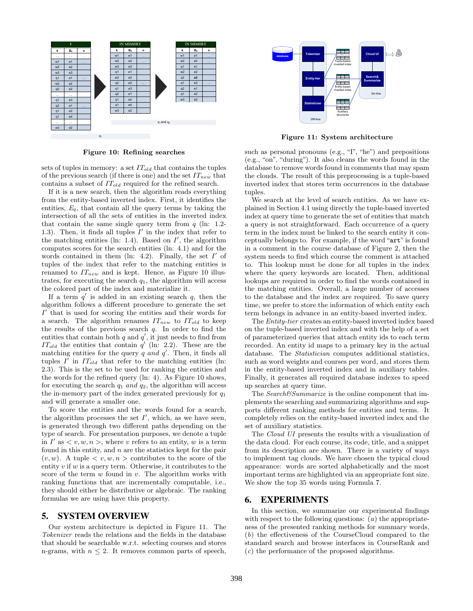

Figure 10: Refining searches

sets of tuples in memory: a set  $IT_{old}$  that contains the tuples of the previous search (if there is one) and the set  $IT_{new}$  that contains a subset of  $IT_{old}$  required for the refined search.

If it is a new search, then the algorithm reads everything from the entity-based inverted index. First, it identifies the entities,  $E_q$ , that contain all the query terms by taking the intersection of all the sets of entities in the inverted index that contain the same single query term from  $q$  (ln: 1.2-1.3). Then, it finds all tuples  $I'$  in the index that refer to the matching entities (ln: 1.4). Based on  $I'$ , the algorithm computes scores for the search entities (ln: 4.1) and for the words contained in them (ln: 4.2). Finally, the set  $I'$  of tuples of the index that refer to the matching entities is renamed to  $IT_{new}$  and is kept. Hence, as Figure 10 illustrates, for executing the search  $q_1$ , the algorithm will access the colored part of the index and materialize it.

If a term  $q'$  is added in an existing search q, then the algorithm follows a different procedure to generate the set  $I'$  that is used for scoring the entities and their words for a search. The algorithm renames  $IT_{new}$  to  $IT_{old}$  to keep the results of the previous search  $q$ . In order to find the entities that contain both  $q$  and  $q'$ , it just needs to find from  $IT_{old}$  the entities that contain q' (ln: 2.2). These are the matching entities for the query q and  $q'$ . Then, it finds all tuples  $I^{\dagger}$  in  $IT_{old}$  that refer to the matching entities (ln: 2.3). This is the set to be used for ranking the entities and the words for the refined query (ln: 4). As Figure 10 shows, for executing the search  $q_1$  and  $q_2$ , the algorithm will access the in-memory part of the index generated previously for  $q_1$ and will generate a smaller one.

To score the entities and the words found for a search, the algorithm processes the set  $I'$ , which, as we have seen, is generated through two different paths depending on the type of search. For presentation purposes, we denote a tuple in  $I'$  as  $\langle v, w, n \rangle$ , where v refers to an entity, w is a term found in this entity, and  $n$  are the statistics kept for the pair  $(v, w)$ . A tuple  $\langle v, w, n \rangle$  contributes to the score of the entity  $v$  if  $w$  is a query term. Otherwise, it contributes to the score of the term  $w$  found in  $v$ . The algorithm works with ranking functions that are incrementally computable, i.e., they should either be distributive or algebraic. The ranking formulas we are using have this property.

## 5. SYSTEM OVERVIEW

Our system architecture is depicted in Figure 11. The Tokenizer reads the relations and the fields in the database that should be searchable w.r.t. selecting courses and stores n-grams, with  $n \leq 2$ . It removes common parts of speech,



Figure 11: System architecture

such as personal pronouns (e.g., "I", "he") and prepositions (e.g., "on", "during"). It also cleans the words found in the database to remove words found in comments that may spam the clouds. The result of this preprocessing is a tuple-based inverted index that stores term occurrences in the database tuples.

We search at the level of search entities. As we have explained in Section 4.1 using directly the tuple-based inverted index at query time to generate the set of entities that match a query is not straightforward. Each occurrence of a query term in the index must be linked to the search entity it conceptually belongs to. For example, if the word "art"is found in a comment in the course database of Figure 2, then the system needs to find which course the comment is attached to. This lookup must be done for all tuples in the index where the query keywords are located. Then, additional lookups are required in order to find the words contained in the matching entities. Overall, a large number of accesses to the database and the index are required. To save query time, we prefer to store the information of which entity each term belongs in advance in an entity-based inverted index.

The Entity-tier creates an entity-based inverted index based on the tuple-based inverted index and with the help of a set of parameterized queries that attach entity ids to each term recorded. An entity id maps to a primary key in the actual database. The Statistician computes additional statistics, such as word weights and courses per word, and stores them in the entity-based inverted index and in auxiliary tables. Finally, it generates all required database indexes to speed up searches at query time.

The Search&Summarize is the online component that implements the searching and summarizing algorithms and supports different ranking methods for entities and terms. It completely relies on the entity-based inverted index and the set of auxiliary statistics.

The Cloud UI presents the results with a visualization of the data cloud. For each course, its code, title, and a snippet from its description are shown. There is a variety of ways to implement tag clouds. We have chosen the typical cloud appearance: words are sorted alphabetically and the most important terms are highlighted via an appropriate font size. We show the top 35 words using Formula 7.

# 6. EXPERIMENTS

In this section, we summarize our experimental findings with respect to the following questions:  $(a)$  the appropriateness of the presented ranking methods for summary words, (b) the effectiveness of the CourseCloud compared to the standard search and browse interfaces in CourseRank and (c) the performance of the proposed algorithms.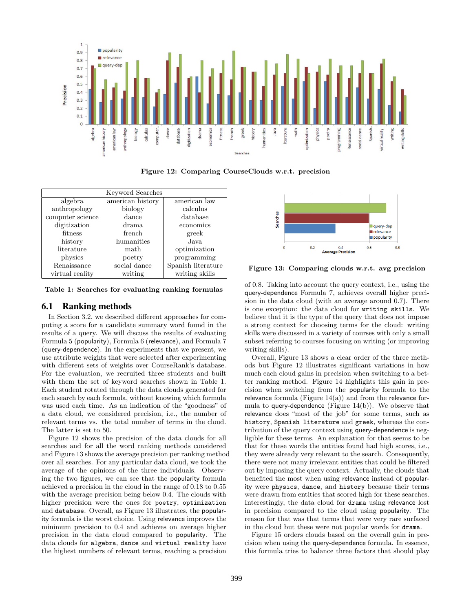

Figure 12: Comparing CourseClouds w.r.t. precision

| Keyword Searches |                  |                    |  |  |  |  |  |  |
|------------------|------------------|--------------------|--|--|--|--|--|--|
| algebra          | american history | american law       |  |  |  |  |  |  |
| anthropology     | biology          | calculus           |  |  |  |  |  |  |
| computer science | dance            | database           |  |  |  |  |  |  |
| digitization     | drama            | economics          |  |  |  |  |  |  |
| fitness          | french           | greek              |  |  |  |  |  |  |
| history          | humanities       | Java               |  |  |  |  |  |  |
| literature       | math             | optimization       |  |  |  |  |  |  |
| physics          | poetry           | programming        |  |  |  |  |  |  |
| Renaissance      | social dance     | Spanish literature |  |  |  |  |  |  |
| virtual reality  | writing          | writing skills     |  |  |  |  |  |  |

#### Table 1: Searches for evaluating ranking formulas

### 6.1 Ranking methods

In Section 3.2, we described different approaches for computing a score for a candidate summary word found in the results of a query. We will discuss the results of evaluating Formula 5 (popularity), Formula 6 (relevance), and Formula 7 (query-dependence). In the experiments that we present, we use attribute weights that were selected after experimenting with different sets of weights over CourseRank's database. For the evaluation, we recruited three students and built with them the set of keyword searches shown in Table 1. Each student rotated through the data clouds generated for each search by each formula, without knowing which formula was used each time. As an indication of the "goodness" of a data cloud, we considered precision, i.e., the number of relevant terms vs. the total number of terms in the cloud. The latter is set to 50.

Figure 12 shows the precision of the data clouds for all searches and for all the word ranking methods considered and Figure 13 shows the average precision per ranking method over all searches. For any particular data cloud, we took the average of the opinions of the three individuals. Observing the two figures, we can see that the popularity formula achieved a precision in the cloud in the range of 0.18 to 0.55 with the average precision being below 0.4. The clouds with higher precision were the ones for poetry, optimization and database. Overall, as Figure 13 illustrates, the popularity formula is the worst choice. Using relevance improves the minimum precision to 0.4 and achieves on average higher precision in the data cloud compared to popularity. The data clouds for algebra, dance and virtual reality have the highest numbers of relevant terms, reaching a precision



Figure 13: Comparing clouds w.r.t. avg precision

of 0.8. Taking into account the query context, i.e., using the query-dependence Formula 7, achieves overall higher precision in the data cloud (with an average around 0.7). There is one exception: the data cloud for writing skills. We believe that it is the type of the query that does not impose a strong context for choosing terms for the cloud: writing skills were discussed in a variety of courses with only a small subset referring to courses focusing on writing (or improving writing skills).

Overall, Figure 13 shows a clear order of the three methods but Figure 12 illustrates significant variations in how much each cloud gains in precision when switching to a better ranking method. Figure 14 highlights this gain in precision when switching from the popularity formula to the relevance formula (Figure  $14(a)$ ) and from the relevance formula to query-dependence (Figure 14(b)). We observe that relevance does "most of the job" for some terms, such as history, Spanish literature and greek, whereas the contribution of the query context using query-dependence is negligible for these terms. An explanation for that seems to be that for these words the entities found had high scores, i.e., they were already very relevant to the search. Consequently, there were not many irrelevant entities that could be filtered out by imposing the query context. Actually, the clouds that benefited the most when using relevance instead of popularity were physics, dance, and history because their terms were drawn from entities that scored high for these searches. Interestingly, the data cloud for drama using relevance lost in precision compared to the cloud using popularity. The reason for that was that terms that were very rare surfaced in the cloud but these were not popular words for drama.

Figure 15 orders clouds based on the overall gain in precision when using the query-dependence formula. In essence, this formula tries to balance three factors that should play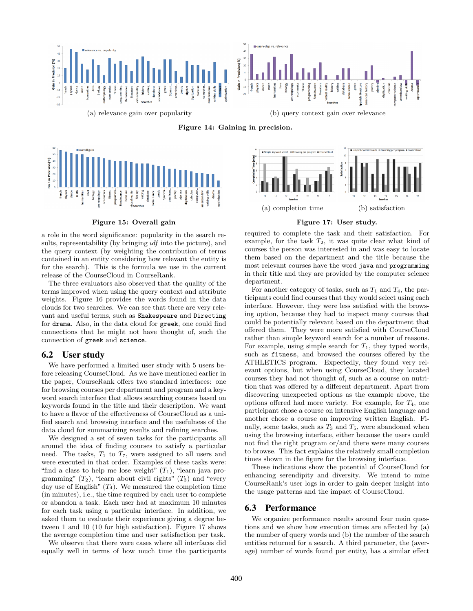





Figure 15: Overall gain

a role in the word significance: popularity in the search results, representability (by bringing idf into the picture), and the query context (by weighting the contribution of terms contained in an entity considering how relevant the entity is for the search). This is the formula we use in the current release of the CourseCloud in CourseRank.

The three evaluators also observed that the quality of the terms improved when using the query context and attribute weights. Figure 16 provides the words found in the data clouds for two searches. We can see that there are very relevant and useful terms, such as Shakespeare and Directing for drama. Also, in the data cloud for greek, one could find connections that he might not have thought of, such the connection of greek and science.

# 6.2 User study

We have performed a limited user study with 5 users before releasing CourseCloud. As we have mentioned earlier in the paper, CourseRank offers two standard interfaces: one for browsing courses per department and program and a keyword search interface that allows searching courses based on keywords found in the title and their description. We want to have a flavor of the effectiveness of CourseCloud as a unified search and browsing interface and the usefulness of the data cloud for summarizing results and refining searches.

We designed a set of seven tasks for the participants all around the idea of finding courses to satisfy a particular need. The tasks,  $T_1$  to  $T_7$ , were assigned to all users and were executed in that order. Examples of these tasks were: "find a class to help me lose weight"  $(T_1)$ , "learn java programming"  $(T_2)$ , "learn about civil rights"  $(T_3)$  and "every day use of English"  $(T_4)$ . We measured the completion time (in minutes), i.e., the time required by each user to complete or abandon a task. Each user had at maximum 10 minutes for each task using a particular interface. In addition, we asked them to evaluate their experience giving a degree between 1 and 10 (10 for high satisfaction). Figure 17 shows the average completion time and user satisfaction per task.

We observe that there were cases where all interfaces did equally well in terms of how much time the participants



Figure 17: User study.

required to complete the task and their satisfaction. For example, for the task  $T_2$ , it was quite clear what kind of courses the person was interested in and was easy to locate them based on the department and the title because the most relevant courses have the word java and programming in their title and they are provided by the computer science department.

For another category of tasks, such as  $T_1$  and  $T_4$ , the participants could find courses that they would select using each interface. However, they were less satisfied with the browsing option, because they had to inspect many courses that could be potentially relevant based on the department that offered them. They were more satisfied with CourseCloud rather than simple keyword search for a number of reasons. For example, using simple search for  $T_1$ , they typed words, such as fitness, and browsed the courses offered by the ATHLETICS program. Expectedly, they found very relevant options, but when using CourseCloud, they located courses they had not thought of, such as a course on nutrition that was offered by a different department. Apart from discovering unexpected options as the example above, the options offered had more variety. For example, for  $T_4$ , one participant chose a course on intensive English language and another chose a course on improving written English. Finally, some tasks, such as  $T_3$  and  $T_5$ , were abandoned when using the browsing interface, either because the users could not find the right program or/and there were many courses to browse. This fact explains the relatively small completion times shown in the figure for the browsing interface.

These indications show the potential of CourseCloud for enhancing serendipity and diversity. We intend to mine CourseRank's user logs in order to gain deeper insight into the usage patterns and the impact of CourseCloud.

## 6.3 Performance

We organize performance results around four main questions and we show how execution times are affected by (a) the number of query words and (b) the number of the search entities returned for a search. A third parameter, the (average) number of words found per entity, has a similar effect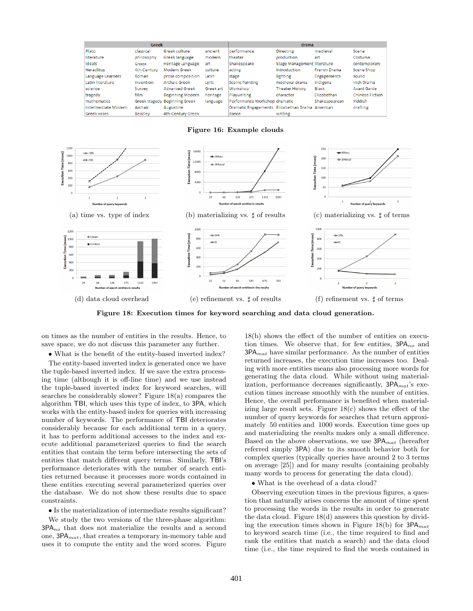| Greek               |                |                               | drama     |                                                 |                                    |                    |                        |
|---------------------|----------------|-------------------------------|-----------|-------------------------------------------------|------------------------------------|--------------------|------------------------|
| Plato               | classical      | Greek culture                 | ancient   | performance                                     | <b>Directing</b>                   | medieval           | Scene                  |
| literature          | philosophy     | Greek language                | modern    | theater                                         | production                         | art                | Costume                |
| Ideals              | Greece         | Heritage Language             | art       | Shakespeare                                     | <b>Stage Management literature</b> |                    | contemporary           |
| <b>Heraclitus</b>   | 4th-Century    | Modern Greek                  | culture   | acting                                          | Introduction                       | French Drama       | Scene Shop             |
| Language Learners   | Roman          | prose composition             | Latin     | stage                                           | lighting                           | <b>Engagements</b> | sound                  |
| Latin literature    | invention      | Archaic Greek                 | Lyric     | <b>Scenic Painting</b>                          | medieval drama                     | Indigena           | <b>Irish Drama</b>     |
| science             | Survey         | <b>Advanced Greek</b>         | Greek art | Workshop                                        | <b>Theater History</b>             | Black              | Avant Garde            |
| tragedy             | film.          | <b>Beginning Modern</b>       | heritage  | Playwriting                                     | character                          | Elizabethan        | <b>Chinese Fiction</b> |
| mathematics         |                | Greek tragedy Beginning Greek | language  | Performance Workshop dramatic                   |                                    | Shakespearean      | Yiddish                |
| Intermediate Modern | Archaic        | Augustine                     |           | Dramatic Engagements Elizabethan Drama American |                                    |                    | drafting               |
| <b>Greek vases</b>  | <b>Beazley</b> | 4th-Century Greek             |           | dance                                           | writing                            |                    |                        |

Figure 16: Example clouds



Figure 18: Execution times for keyword searching and data cloud generation.

on times as the number of entities in the results. Hence, to save space, we do not discuss this parameter any further.

• What is the benefit of the entity-based inverted index?

The entity-based inverted index is generated once we have the tuple-based inverted index. If we save the extra processing time (although it is off-line time) and we use instead the tuple-based inverted index for keyword searches, will searches be considerably slower? Figure 18(a) compares the algorithm TBI, which uses this type of index, to 3PA, which works with the entity-based index for queries with increasing number of keywords. The performance of TBI deteriorates considerably because for each additional term in a query, it has to perform additional accesses to the index and execute additional parameterized queries to find the search entities that contain the term before intersecting the sets of entities that match different query terms. Similarly, TBI's performance deteriorates with the number of search entities returned because it processes more words contained in these entities executing several parameterized queries over the database. We do not show these results due to space constraints.

• Is the materialization of intermediate results significant? We study the two versions of the three-phase algorithm:  $3PA_{no}$  that does not materialize the results and a second one,  $3PA_{mat}$ , that creates a temporary in-memory table and uses it to compute the entity and the word scores. Figure

18(b) shows the effect of the number of entities on execution times. We observe that, for few entities,  $3PA_{no}$  and  $3PA_{mat}$  have similar performance. As the number of entities returned increases, the execution time increases too. Dealing with more entities means also processing more words for generating the data cloud. While without using materialization, performance decreases significantly,  $3PA_{mat}$ 's execution times increase smoothly with the number of entities. Hence, the overall performance is benefited when materializing large result sets. Figure  $18(c)$  shows the effect of the number of query keywords for searches that return approximately 50 entities and 1000 words. Execution time goes up and materializing the results makes only a small difference. Based on the above observations, we use  $3PA_{mat}$  (hereafter referred simply 3PA) due to its smooth behavior both for complex queries (typically queries have around 2 to 3 terms on average [25]) and for many results (containing probably many words to process for generating the data cloud).

• What is the overhead of a data cloud?

Observing execution times in the previous figures, a question that naturally arises concerns the amount of time spent to processing the words in the results in order to generate the data cloud. Figure 18(d) answers this question by dividing the execution times shown in Figure 18(b) for  $3PA_{mat}$ to keyword search time (i.e., the time required to find and rank the entities that match a search) and the data cloud time (i.e., the time required to find the words contained in